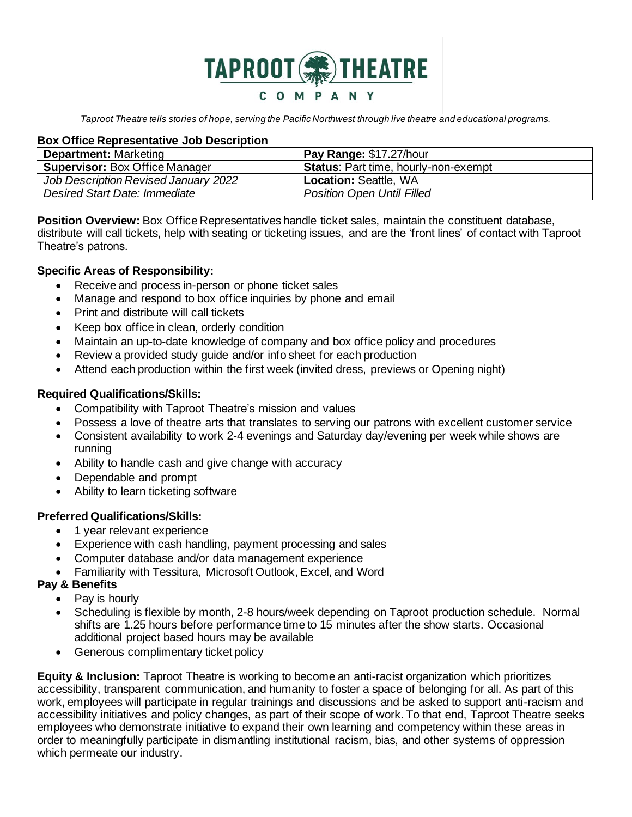

*Taproot Theatre tells stories of hope, serving the Pacific Northwest through live theatre and educational programs.*

# **Box Office Representative Job Description**

| <b>Department: Marketing</b>          | Pay Range: \$17.27/hour                     |
|---------------------------------------|---------------------------------------------|
| <b>Supervisor:</b> Box Office Manager | <b>Status: Part time, hourly-non-exempt</b> |
| Job Description Revised January 2022  | Location: Seattle, WA                       |
| <b>Desired Start Date: Immediate</b>  | <b>Position Open Until Filled</b>           |

**Position Overview:** Box Office Representatives handle ticket sales, maintain the constituent database, distribute will call tickets, help with seating or ticketing issues, and are the 'front lines' of contact with Taproot Theatre's patrons.

# **Specific Areas of Responsibility:**

- Receive and process in-person or phone ticket sales
- Manage and respond to box office inquiries by phone and email
- Print and distribute will call tickets
- Keep box office in clean, orderly condition
- Maintain an up-to-date knowledge of company and box office policy and procedures
- Review a provided study quide and/or info sheet for each production
- Attend each production within the first week (invited dress, previews or Opening night)

# **Required Qualifications/Skills:**

- Compatibility with Taproot Theatre's mission and values
- Possess a love of theatre arts that translates to serving our patrons with excellent customer service
- Consistent availability to work 2-4 evenings and Saturday day/evening per week while shows are running
- Ability to handle cash and give change with accuracy
- Dependable and prompt
- Ability to learn ticketing software

# **Preferred Qualifications/Skills:**

- 1 year relevant experience
- Experience with cash handling, payment processing and sales
- Computer database and/or data management experience
- Familiarity with Tessitura, Microsoft Outlook, Excel, and Word

# **Pay & Benefits**

- Pay is hourly
- Scheduling is flexible by month, 2-8 hours/week depending on Taproot production schedule. Normal shifts are 1.25 hours before performance time to 15 minutes after the show starts. Occasional additional project based hours may be available
- Generous complimentary ticket policy

**Equity & Inclusion:** Taproot Theatre is working to become an anti-racist organization which prioritizes accessibility, transparent communication, and humanity to foster a space of belonging for all. As part of this work, employees will participate in regular trainings and discussions and be asked to support anti-racism and accessibility initiatives and policy changes, as part of their scope of work. To that end, Taproot Theatre seeks employees who demonstrate initiative to expand their own learning and competency within these areas in order to meaningfully participate in dismantling institutional racism, bias, and other systems of oppression which permeate our industry.